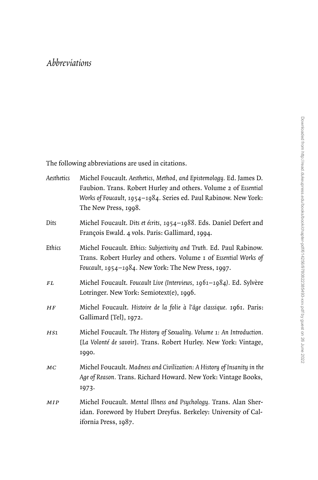## *Abbreviations*

The following abbreviations are used in citations.

| Aesthetics | Michel Foucault. Aesthetics, Method, and Epistemology. Ed. James D.<br>Faubion. Trans. Robert Hurley and others. Volume 2 of Essential<br>Works of Foucault, 1954-1984. Series ed. Paul Rabinow. New York:<br>The New Press, 1998. |
|------------|------------------------------------------------------------------------------------------------------------------------------------------------------------------------------------------------------------------------------------|
| Dits       | Michel Foucault. Dits et écrits, 1954-1988. Eds. Daniel Defert and<br>François Ewald. 4 vols. Paris: Gallimard, 1994.                                                                                                              |
| Ethics     | Michel Foucault. Ethics: Subjectivity and Truth. Ed. Paul Rabinow.<br>Trans. Robert Hurley and others. Volume I of Essential Works of<br>Foucault, 1954-1984. New York: The New Press, 1997.                                       |
| FL         | Michel Foucault. Foucault Live (Interviews, 1961-1984). Ed. Sylvère<br>Lotringer. New York: Semiotext(e), 1996.                                                                                                                    |
| HF         | Michel Foucault. Histoire de la folie à l'âge classique. 1961. Paris:<br>Gallimard [Tel], 1972.                                                                                                                                    |
| HS1        | Michel Foucault. The History of Sexuality. Volume 1: An Introduction.<br>[La Volonté de savoir]. Trans. Robert Hurley. New York: Vintage,<br>1990.                                                                                 |
| MC         | Michel Foucault. Madness and Civilization: A History of Insanity in the<br>Age of Reason. Trans. Richard Howard. New York: Vintage Books,<br>1973.                                                                                 |
| <b>MIP</b> | Michel Foucault. Mental Illness and Psychology. Trans. Alan Sher-<br>idan. Foreword by Hubert Dreyfus. Berkeley: University of Cal-<br>ifornia Press, 1987.                                                                        |